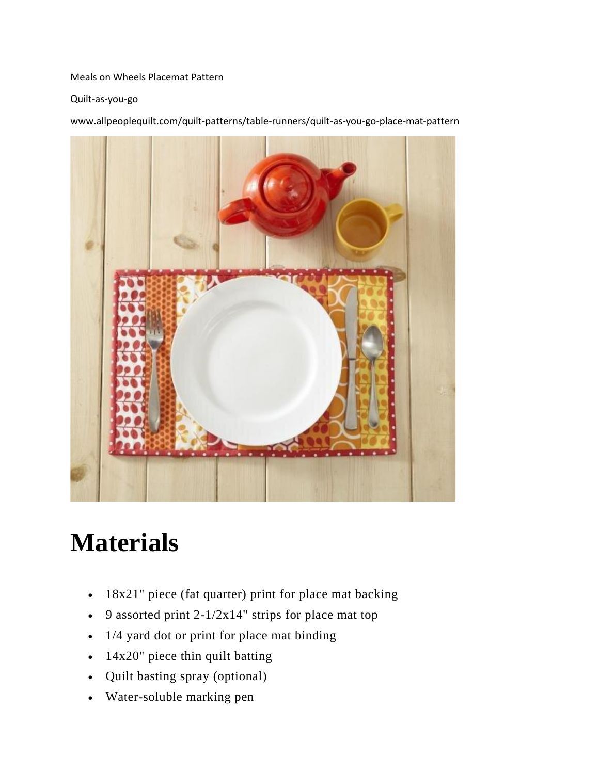#### Meals on Wheels Placemat Pattern

Quilt-as-you-go

www.allpeoplequilt.com/quilt-patterns/table-runners/quilt-as-you-go-place-mat-pattern



# **Materials**

- 18x21" piece (fat quarter) print for place mat backing
- 9 assorted print  $2-1/2x14$ " strips for place mat top
- 1/4 yard dot or print for place mat binding
- 14x20" piece thin quilt batting
- Quilt basting spray (optional)
- Water-soluble marking pen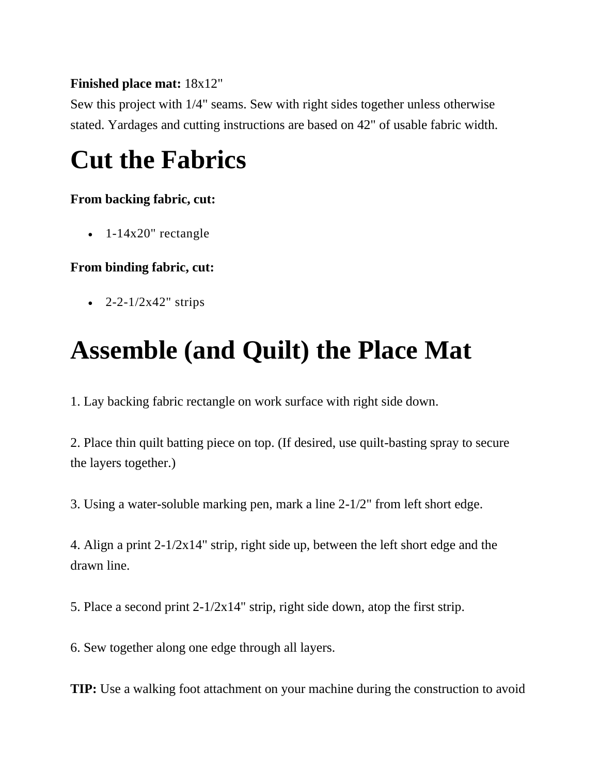#### **Finished place mat:** 18x12"

Sew this project with 1/4" seams. Sew with right sides together unless otherwise stated. Yardages and cutting instructions are based on 42" of usable fabric width.

# **Cut the Fabrics**

#### **From backing fabric, cut:**

• 1-14x20" rectangle

### **From binding fabric, cut:**

• 2-2-1/2x42" strips

## **Assemble (and Quilt) the Place Mat**

1. Lay backing fabric rectangle on work surface with right side down.

2. Place thin quilt batting piece on top. (If desired, use quilt-basting spray to secure the layers together.)

3. Using a water-soluble marking pen, mark a line 2-1/2" from left short edge.

4. Align a print 2-1/2x14" strip, right side up, between the left short edge and the drawn line.

5. Place a second print 2-1/2x14" strip, right side down, atop the first strip.

6. Sew together along one edge through all layers.

**TIP:** Use a walking foot attachment on your machine during the construction to avoid